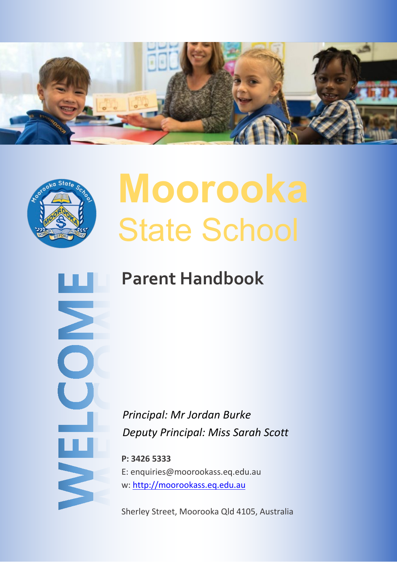



Σ

NELC

# **Moorooka** State School

## **Parent Handbook**

*Principal: Mr Jordan Burke Deputy Principal: Miss Sarah Scott*

**P: 3426 5333** E: enquiries@moorookass.eq.edu.au w: [http://moorookass.eq.edu.au](http://moorookass.eq.edu.au/)

Sherley Street, Moorooka Qld 4105, Australia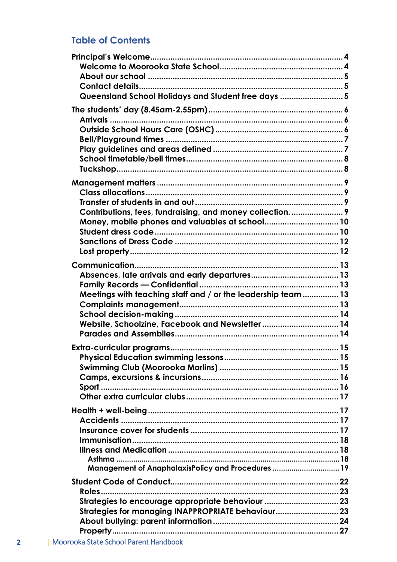## **Table of Contents**

| Queensland School Holidays and Student free days  5          |  |
|--------------------------------------------------------------|--|
|                                                              |  |
|                                                              |  |
|                                                              |  |
|                                                              |  |
|                                                              |  |
|                                                              |  |
|                                                              |  |
|                                                              |  |
|                                                              |  |
|                                                              |  |
|                                                              |  |
| Contributions, fees, fundraising, and money collection 9     |  |
|                                                              |  |
|                                                              |  |
|                                                              |  |
|                                                              |  |
|                                                              |  |
|                                                              |  |
|                                                              |  |
|                                                              |  |
| Meetings with teaching staff and / or the leadership team 13 |  |
|                                                              |  |
|                                                              |  |
| Website, Schoolzine, Facebook and Newsletter 14              |  |
|                                                              |  |
|                                                              |  |
|                                                              |  |
|                                                              |  |
|                                                              |  |
|                                                              |  |
|                                                              |  |
|                                                              |  |
|                                                              |  |
|                                                              |  |
|                                                              |  |
|                                                              |  |
|                                                              |  |
| Management of AnaphalaxisPolicy and Procedures  19           |  |
|                                                              |  |
|                                                              |  |
|                                                              |  |
| Strategies to encourage appropriate behaviour  23            |  |
| Strategies for managing INAPPROPRIATE behaviour23            |  |
|                                                              |  |
|                                                              |  |
|                                                              |  |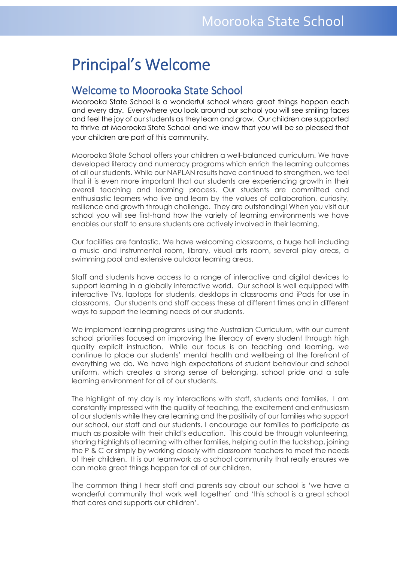## <span id="page-3-0"></span> $\mathcal{M}$  state  $\mathcal{M}$  state  $\mathcal{M}$ Principal's Welcome

## <span id="page-3-1"></span>Welcome to Moorooka State School

Moorooka State School is a wonderful school where great things happen each and every day. Everywhere you look around our school you will see smiling faces and feel the joy of our students as they learn and grow. Our children are supported to thrive at Moorooka State School and we know that you will be so pleased that your children are part of this community.

Moorooka State School offers your children a well-balanced curriculum. We have developed literacy and numeracy programs which enrich the learning outcomes of all our students. While our NAPLAN results have continued to strengthen, we feel that it is even more important that our students are experiencing growth in their overall teaching and learning process. Our students are committed and enthusiastic learners who live and learn by the values of collaboration, curiosity, resilience and growth through challenge. They are outstanding! When you visit our school you will see first-hand how the variety of learning environments we have enables our staff to ensure students are actively involved in their learning.

Our facilities are fantastic. We have welcoming classrooms, a huge hall including a music and instrumental room, library, visual arts room, several play areas, a swimming pool and extensive outdoor learning areas.

Staff and students have access to a range of interactive and digital devices to support learning in a globally interactive world. Our school is well equipped with interactive TVs, laptops for students, desktops in classrooms and iPads for use in classrooms. Our students and staff access these at different times and in different ways to support the learning needs of our students.

We implement learning programs using the Australian Curriculum, with our current school priorities focused on improving the literacy of every student through high quality explicit instruction. While our focus is on teaching and learning, we continue to place our students' mental health and wellbeing at the forefront of everything we do. We have high expectations of student behaviour and school uniform, which creates a strong sense of belonging, school pride and a safe learning environment for all of our students.

The highlight of my day is my interactions with staff, students and families. I am constantly impressed with the quality of teaching, the excitement and enthusiasm of our students while they are learning and the positivity of our families who support our school, our staff and our students. I encourage our families to participate as much as possible with their child's education. This could be through volunteering, sharing highlights of learning with other families, helping out in the tuckshop, joining the P & C or simply by working closely with classroom teachers to meet the needs of their children. It is our teamwork as a school community that really ensures we can make great things happen for all of our children.

The common thing I hear staff and parents say about our school is 'we have a wonderful community that work well together' and 'this school is a great school that cares and supports our children'.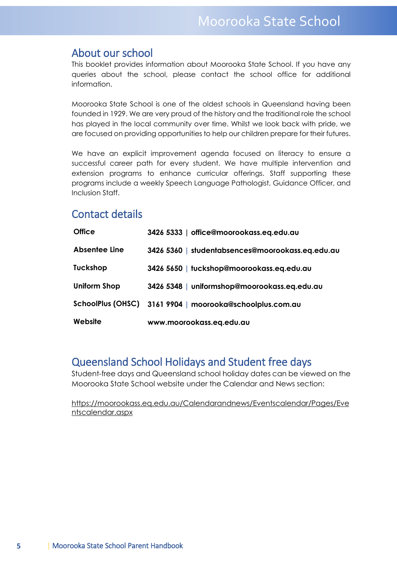## <span id="page-4-0"></span>About our school

This booklet provides information about Moorooka State School. If you have any queries about the school, please contact the school office for additional information.

Moorooka State School is one of the oldest schools in Queensland having been founded in 1929. We are very proud of the history and the traditional role the school has played in the local community over time. Whilst we look back with pride, we are focused on providing opportunities to help our children prepare for their futures.

We have an explicit improvement agenda focused on literacy to ensure a successful career path for every student. We have multiple intervention and extension programs to enhance curricular offerings. Staff supporting these programs include a weekly Speech Language Pathologist, Guidance Officer, and Inclusion Staff.

## <span id="page-4-1"></span>Contact details

| <b>Office</b>            | 3426 5333   office@moorookass.eq.edu.au          |
|--------------------------|--------------------------------------------------|
| <b>Absentee Line</b>     | 3426 5360   studentabsences@moorookass.eq.edu.au |
| <b>Tuckshop</b>          | 3426 5650   tuckshop@moorookass.eq.edu.au        |
| <b>Uniform Shop</b>      | 3426 5348   uniformshop@moorookass.eq.edu.au     |
| <b>SchoolPlus (OHSC)</b> | 3161 9904   moorooka@schoolplus.com.au           |
| Website                  | www.moorookass.eq.edu.au                         |

## <span id="page-4-2"></span>Queensland School Holidays and Student free days

Student-free days and Queensland school holiday dates can be viewed on the Moorooka State School website under the Calendar and News section:

https://moorookass.eq.edu.au/Calendarandnews/Eventscalendar/Pages/Eve ntscalendar.aspx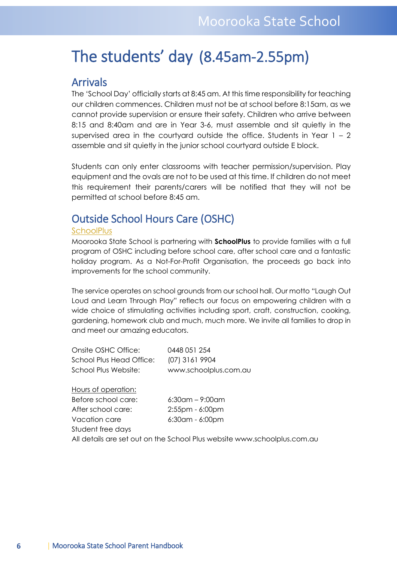## <span id="page-5-0"></span>The students' day (8.45am-2.55pm)

### <span id="page-5-1"></span>Arrivals

The 'School Day' officially starts at 8:45 am. At this time responsibility for teaching our children commences. Children must not be at school before 8:15am, as we cannot provide supervision or ensure their safety. Children who arrive between 8:15 and 8:40am and are in Year 3-6, must assemble and sit quietly in the supervised area in the courtyard outside the office. Students in Year  $1 - 2$ assemble and sit quietly in the junior school courtyard outside E block.

Students can only enter classrooms with teacher permission/supervision. Play equipment and the ovals are not to be used at this time. If children do not meet this requirement their parents/carers will be notified that they will not be permitted at school before 8:45 am.

## <span id="page-5-2"></span>Outside School Hours Care (OSHC)

#### **SchoolPlus**

Moorooka State School is partnering with **SchoolPlus** to provide families with a full program of OSHC including before school care, after school care and a fantastic holiday program. As a Not-For-Profit Organisation, the proceeds go back into improvements for the school community.

The service operates on school grounds from our school hall. Our motto "Laugh Out Loud and Learn Through Play" reflects our focus on empowering children with a wide choice of stimulating activities including sport, craft, construction, cooking, gardening, homework club and much, much more. We invite all families to drop in and meet our amazing educators.

| Onsite OSHC Office:                                                      | 0448 051 254          |  |
|--------------------------------------------------------------------------|-----------------------|--|
| School Plus Head Office:                                                 | (07) 3161 9904        |  |
| School Plus Website:                                                     | www.schoolplus.com.au |  |
|                                                                          |                       |  |
| Hours of operation:                                                      |                       |  |
| Before school care:                                                      | $6:30$ am – 9:00am    |  |
| After school care:                                                       | $2:55$ pm - 6:00pm    |  |
| Vacation care                                                            | $6:30$ am - $6:00$ pm |  |
| Student free days                                                        |                       |  |
| All details are set out on the School Plus website www.schoolplus.com.au |                       |  |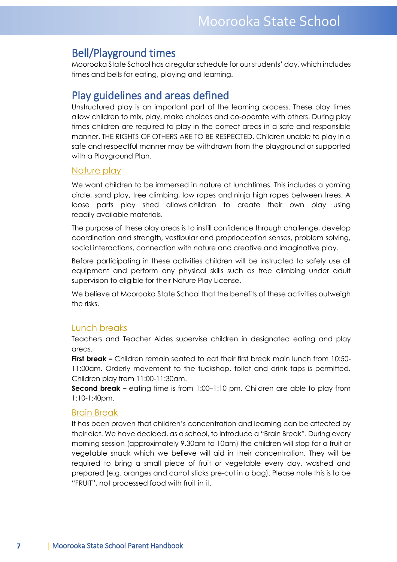## <span id="page-6-0"></span>Bell/Playground times

Moorooka State School has a regular schedule for our students' day, which includes times and bells for eating, playing and learning.

## <span id="page-6-1"></span>Play guidelines and areas defined

Unstructured play is an important part of the learning process. These play times allow children to mix, play, make choices and co-operate with others. During play times children are required to play in the correct areas in a safe and responsible manner. THE RIGHTS OF OTHERS ARE TO BE RESPECTED. Children unable to play in a safe and respectful manner may be withdrawn from the playground or supported with a Playground Plan.

#### Nature play

We want children to be immersed in nature at lunchtimes. This includes a yarning circle, sand play, tree climbing, low ropes and ninja high ropes between trees. A loose parts play shed allows children to create their own play using readily available materials.

The purpose of these play areas is to instill confidence through challenge, develop coordination and strength, vestibular and proprioception senses, problem solving, social interactions, connection with nature and creative and imaginative play.

Before participating in these activities children will be instructed to safely use all equipment and perform any physical skills such as tree climbing under adult supervision to eligible for their Nature Play License.

We believe at Moorooka State School that the benefits of these activities outweigh the risks.

#### Lunch breaks

Teachers and Teacher Aides supervise children in designated eating and play areas.

**First break –** Children remain seated to eat their first break main lunch from 10:50- 11:00am. Orderly movement to the tuckshop, toilet and drink taps is permitted. Children play from 11:00-11:30am.

**Second break –** eating time is from 1:00–1:10 pm. Children are able to play from 1:10-1:40pm.

#### Brain Break

It has been proven that children's concentration and learning can be affected by their diet. We have decided, as a school, to introduce a "Brain Break". During every morning session (approximately 9.30am to 10am) the children will stop for a fruit or vegetable snack which we believe will aid in their concentration. They will be required to bring a small piece of fruit or vegetable every day, washed and prepared (e.g. oranges and carrot sticks pre-cut in a bag). Please note this is to be "FRUIT", not processed food with fruit in it.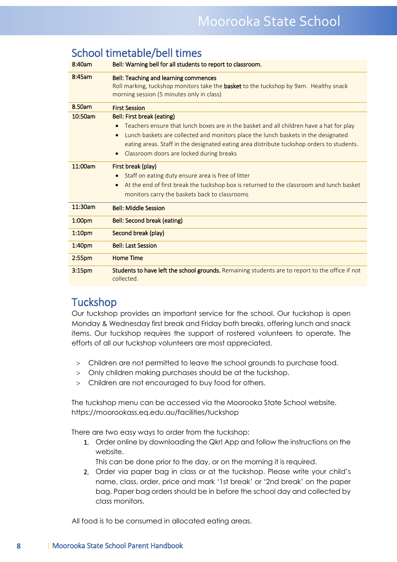|                    | School timetable/bell times                                                                                                                                                        |
|--------------------|------------------------------------------------------------------------------------------------------------------------------------------------------------------------------------|
| 8:40am             | Bell: Warning bell for all students to report to classroom.                                                                                                                        |
| 8:45am             | <b>Bell: Teaching and learning commences</b><br>Roll marking, tuckshop monitors take the basket to the tuckshop by 9am. Healthy snack<br>morning session (5 minutes only in class) |
| 8.50am             | <b>First Session</b>                                                                                                                                                               |
| 10:50am            | Bell: First break (eating)                                                                                                                                                         |
|                    | Teachers ensure that lunch boxes are in the basket and all children have a hat for play<br>$\bullet$                                                                               |
|                    | Lunch baskets are collected and monitors place the lunch baskets in the designated<br>$\bullet$                                                                                    |
|                    | eating areas. Staff in the designated eating area distribute tuckshop orders to students.                                                                                          |
|                    | Classroom doors are locked during breaks                                                                                                                                           |
| 11:00am            | First break (play)                                                                                                                                                                 |
|                    | Staff on eating duty ensure area is free of litter<br>$\bullet$                                                                                                                    |
|                    | At the end of first break the tuckshop box is returned to the classroom and lunch basket<br>$\bullet$                                                                              |
|                    | monitors carry the baskets back to classrooms                                                                                                                                      |
| 11:30am            | <b>Bell: Middle Session</b>                                                                                                                                                        |
| 1:00 <sub>pm</sub> | Bell: Second break (eating)                                                                                                                                                        |
| 1:10 <sub>pm</sub> | Second break (play)                                                                                                                                                                |
| 1:40 <sub>pm</sub> | <b>Bell: Last Session</b>                                                                                                                                                          |
| 2:55 <sub>pm</sub> | <b>Home Time</b>                                                                                                                                                                   |
| 3:15 <sub>pm</sub> | Students to have left the school grounds. Remaining students are to report to the office if not<br>collected.                                                                      |

## <span id="page-7-0"></span>School timetable/bell times

## <span id="page-7-1"></span>**Tuckshop**

Our tuckshop provides an important service for the school. Our tuckshop is open Monday & Wednesday first break and Friday both breaks, offering lunch and snack items. Our tuckshop requires the support of rostered volunteers to operate. The efforts of all our tuckshop volunteers are most appreciated.

- > Children are not permitted to leave the school grounds to purchase food.
- > Only children making purchases should be at the tuckshop.
- > Children are not encouraged to buy food for others.

The tuckshop menu can be accessed via the Moorooka State School website. https://moorookass.eq.edu.au/facilities/tuckshop

There are two easy ways to order from the tuckshop:

1. Order online by downloading the Qkr! App and follow the instructions on the website.

This can be done prior to the day, or on the morning it is required.

2. Order via paper bag in class or at the tuckshop. Please write your child's name, class, order, price and mark '1st break' or '2nd break' on the paper bag. Paper bag orders should be in before the school day and collected by class monitors.

All food is to be consumed in allocated eating areas.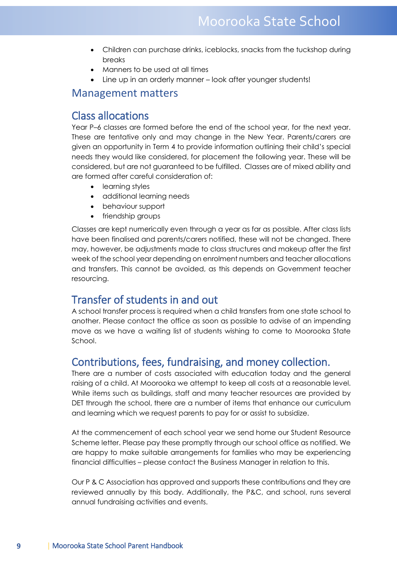- Children can purchase drinks, iceblocks, snacks from the tuckshop during breaks
- Manners to be used at all times
- Line up in an orderly manner look after younger students!

## <span id="page-8-0"></span>Management matters

## <span id="page-8-1"></span>Class allocations

Year P–6 classes are formed before the end of the school year, for the next year. These are tentative only and may change in the New Year. Parents/carers are given an opportunity in Term 4 to provide information outlining their child's special needs they would like considered, for placement the following year. These will be considered, but are not guaranteed to be fulfilled. Classes are of mixed ability and are formed after careful consideration of:

- learning styles
- additional learning needs
- behaviour support
- friendship groups

Classes are kept numerically even through a year as far as possible. After class lists have been finalised and parents/carers notified, these will not be changed. There may, however, be adjustments made to class structures and makeup after the first week of the school year depending on enrolment numbers and teacher allocations and transfers. This cannot be avoided, as this depends on Government teacher resourcing.

## <span id="page-8-2"></span>Transfer of students in and out

A school transfer process is required when a child transfers from one state school to another. Please contact the office as soon as possible to advise of an impending move as we have a waiting list of students wishing to come to Moorooka State School.

## <span id="page-8-3"></span>Contributions, fees, fundraising, and money collection.

There are a number of costs associated with education today and the general raising of a child. At Moorooka we attempt to keep all costs at a reasonable level. While items such as buildings, staff and many teacher resources are provided by DET through the school, there are a number of items that enhance our curriculum and learning which we request parents to pay for or assist to subsidize.

At the commencement of each school year we send home our Student Resource Scheme letter. Please pay these promptly through our school office as notified. We are happy to make suitable arrangements for families who may be experiencing financial difficulties – please contact the Business Manager in relation to this.

Our P & C Association has approved and supports these contributions and they are reviewed annually by this body. Additionally, the P&C, and school, runs several annual fundraising activities and events.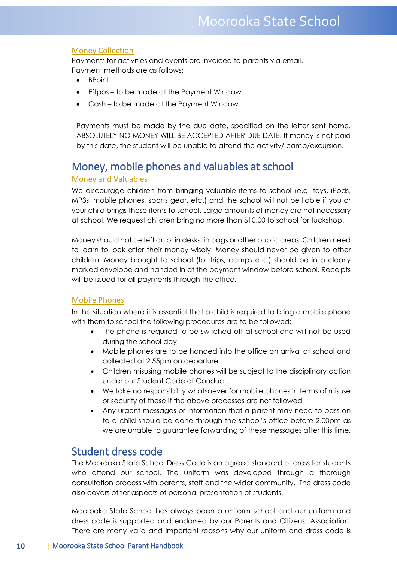#### Money Collection

Payments for activities and events are invoiced to parents via email. Payment methods are as follows:

- BPoint
- Eftpos to be made at the Payment Window
- Cash to be made at the Payment Window

Payments must be made by the due date, specified on the letter sent home. ABSOLUTELY NO MONEY WILL BE ACCEPTED AFTER DUE DATE. If money is not paid by this date, the student will be unable to attend the activity/ camp/excursion.

## <span id="page-9-0"></span>Money, mobile phones and valuables at school

#### Money and Valuables

We discourage children from bringing valuable items to school (e.g. toys, iPods, MP3s, mobile phones, sports gear, etc.) and the school will not be liable if you or your child brings these items to school. Large amounts of money are not necessary at school. We request children bring no more than \$10.00 to school for tuckshop.

Money should not be left on or in desks, in bags or other public areas. Children need to learn to look after their money wisely. Money should never be given to other children. Money brought to school (for trips, camps etc.) should be in a clearly marked envelope and handed in at the payment window before school. Receipts will be issued for all payments through the office.

#### Mobile Phones

In the situation where it is essential that a child is required to bring a mobile phone with them to school the following procedures are to be followed:

- The phone is required to be switched off at school and will not be used during the school day
- Mobile phones are to be handed into the office on arrival at school and collected at 2:55pm on departure
- Children misusing mobile phones will be subject to the disciplinary action under our Student Code of Conduct.
- We take no responsibility whatsoever for mobile phones in terms of misuse or security of these if the above processes are not followed
- Any urgent messages or information that a parent may need to pass on to a child should be done through the school's office before 2.00pm as we are unable to guarantee forwarding of these messages after this time.

## <span id="page-9-1"></span>Student dress code

The Moorooka State School Dress Code is an agreed standard of dress for students who attend our school. The uniform was developed through a thorough consultation process with parents, staff and the wider community. The dress code also covers other aspects of personal presentation of students.

Moorooka State School has always been a uniform school and our uniform and dress code is supported and endorsed by our Parents and Citizens' Association. There are many valid and important reasons why our uniform and dress code is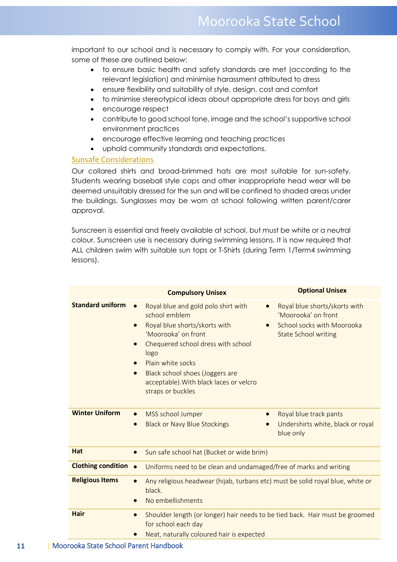important to our school and is necessary to comply with. For your consideration, some of these are outlined below:

- to ensure basic health and safety standards are met (according to the relevant legislation) and minimise harassment attributed to dress
- ensure flexibility and suitability of style, design, cost and comfort
- to minimise stereotypical ideas about appropriate dress for boys and girls
- encourage respect
- contribute to good school tone, image and the school's supportive school environment practices
- encourage effective learning and teaching practices
- uphold community standards and expectations.

#### Sunsafe Considerations

Our collared shirts and broad-brimmed hats are most suitable for sun-safety. Students wearing baseball style caps and other inappropriate head wear will be deemed unsuitably dressed for the sun and will be confined to shaded areas under the buildings. Sunglasses may be worn at school following written parent/carer approval.

Sunscreen is essential and freely available at school, but must be white or a neutral colour. Sunscreen use is necessary during swimming lessons. It is now required that ALL children swim with suitable sun tops or T-Shirts (during Term 1/Term4 swimming lessons).

|                             | <b>Compulsory Unisex</b>                                                                                                                                                                                                                                                                                                  | <b>Optional Unisex</b>                                                                                            |
|-----------------------------|---------------------------------------------------------------------------------------------------------------------------------------------------------------------------------------------------------------------------------------------------------------------------------------------------------------------------|-------------------------------------------------------------------------------------------------------------------|
| <b>Standard uniform</b>     | Royal blue and gold polo shirt with<br>school emblem<br>Royal blue shorts/skorts with<br>$\bullet$<br>'Moorooka' on front<br>Chequered school dress with school<br>logo<br>Plain white socks<br>$\bullet$<br>Black school shoes (Joggers are<br>$\bullet$<br>acceptable). With black laces or velcro<br>straps or buckles | Royal blue shorts/skorts with<br>'Moorooka' on front<br>School socks with Moorooka<br><b>State School writing</b> |
| <b>Winter Uniform</b>       | MSS school Jumper<br><b>Black or Navy Blue Stockings</b>                                                                                                                                                                                                                                                                  | Royal blue track pants<br>Undershirts white, black or royal<br>blue only                                          |
| Hat                         | Sun safe school hat (Bucket or wide brim)<br>$\bullet$                                                                                                                                                                                                                                                                    |                                                                                                                   |
| <b>Clothing condition •</b> | Uniforms need to be clean and undamaged/free of marks and writing                                                                                                                                                                                                                                                         |                                                                                                                   |
| <b>Religious Items</b>      | Any religious headwear (hijab, turbans etc) must be solid royal blue, white or<br>$\bullet$<br>black.<br>No embellishments                                                                                                                                                                                                |                                                                                                                   |
| <b>Hair</b>                 | Shoulder length (or longer) hair needs to be tied back. Hair must be groomed<br>$\bullet$<br>for school each day<br>Neat, naturally coloured hair is expected                                                                                                                                                             |                                                                                                                   |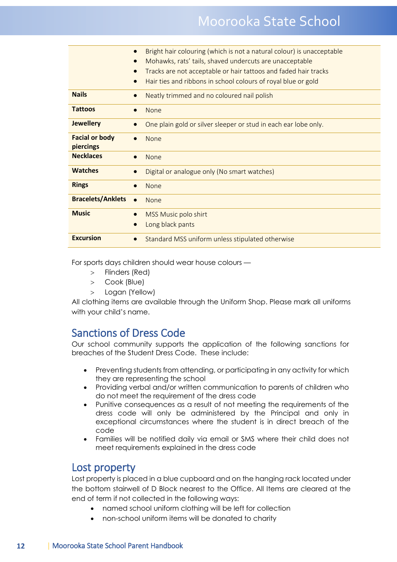|                                    | Bright hair colouring (which is not a natural colour) is unacceptable<br>$\bullet$<br>Mohawks, rats' tails, shaved undercuts are unacceptable<br>$\bullet$ |
|------------------------------------|------------------------------------------------------------------------------------------------------------------------------------------------------------|
|                                    | Tracks are not acceptable or hair tattoos and faded hair tracks<br>Hair ties and ribbons in school colours of royal blue or gold                           |
| <b>Nails</b>                       | Neatly trimmed and no coloured nail polish<br>$\bullet$                                                                                                    |
| <b>Tattoos</b>                     | <b>None</b>                                                                                                                                                |
| <b>Jewellery</b>                   | One plain gold or silver sleeper or stud in each ear lobe only.                                                                                            |
| <b>Facial or body</b><br>piercings | <b>None</b><br>$\bullet$                                                                                                                                   |
| <b>Necklaces</b>                   | <b>None</b>                                                                                                                                                |
| <b>Watches</b>                     | Digital or analogue only (No smart watches)<br>$\bullet$                                                                                                   |
| <b>Rings</b>                       | None                                                                                                                                                       |
| <b>Bracelets/Anklets</b>           | <b>None</b><br>$\bullet$                                                                                                                                   |
| <b>Music</b>                       | MSS Music polo shirt<br>$\bullet$<br>Long black pants                                                                                                      |
| <b>Excursion</b>                   | Standard MSS uniform unless stipulated otherwise<br>$\bullet$                                                                                              |

For sports days children should wear house colours —

- > Flinders (Red)
- > Cook (Blue)

b

> Logan (Yellow)

All clothing items are available through the Uniform Shop. Please mark all uniforms with your child's name.

## <span id="page-11-0"></span>Sanctions of Dress Code

Our school community supports the application of the following sanctions for breaches of the Student Dress Code. These include:

- Preventing students from attending, or participating in any activity for which they are representing the school
- Providing verbal and/or written communication to parents of children who do not meet the requirement of the dress code
- Punitive consequences as a result of not meeting the requirements of the dress code will only be administered by the Principal and only in exceptional circumstances where the student is in direct breach of the code
- Families will be notified daily via email or SMS where their child does not meet requirements explained in the dress code

### <span id="page-11-1"></span>Lost property

Lost property is placed in a blue cupboard and on the hanging rack located under the bottom stairwell of D Block nearest to the Office. All Items are cleared at the end of term if not collected in the following ways:

- named school uniform clothing will be left for collection
- non-school uniform items will be donated to charity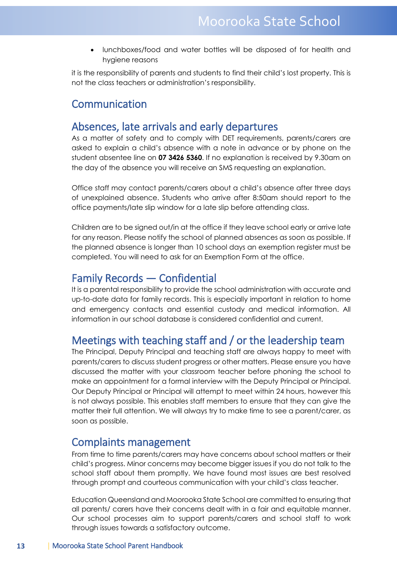• lunchboxes/food and water bottles will be disposed of for health and hygiene reasons

it is the responsibility of parents and students to find their child's lost property. This is not the class teachers or administration's responsibility.

## <span id="page-12-0"></span>Communication

## <span id="page-12-1"></span>Absences, late arrivals and early departures

As a matter of safety and to comply with DET requirements, parents/carers are asked to explain a child's absence with a note in advance or by phone on the student absentee line on **07 3426 5360**. If no explanation is received by 9.30am on the day of the absence you will receive an SMS requesting an explanation.

Office staff may contact parents/carers about a child's absence after three days of unexplained absence. Students who arrive after 8:50am should report to the office payments/late slip window for a late slip before attending class.

Children are to be signed out/in at the office if they leave school early or arrive late for any reason. Please notify the school of planned absences as soon as possible. If the planned absence is longer than 10 school days an exemption register must be completed. You will need to ask for an Exemption Form at the office.

## <span id="page-12-2"></span>Family Records — Confidential

It is a parental responsibility to provide the school administration with accurate and up-to-date data for family records. This is especially important in relation to home and emergency contacts and essential custody and medical information. All information in our school database is considered confidential and current.

## <span id="page-12-3"></span>Meetings with teaching staff and / or the leadership team

The Principal, Deputy Principal and teaching staff are always happy to meet with parents/carers to discuss student progress or other matters. Please ensure you have discussed the matter with your classroom teacher before phoning the school to make an appointment for a formal interview with the Deputy Principal or Principal. Our Deputy Principal or Principal will attempt to meet within 24 hours, however this is not always possible. This enables staff members to ensure that they can give the matter their full attention. We will always try to make time to see a parent/carer, as soon as possible.

## <span id="page-12-4"></span>Complaints management

From time to time parents/carers may have concerns about school matters or their child's progress. Minor concerns may become bigger issues if you do not talk to the school staff about them promptly. We have found most issues are best resolved through prompt and courteous communication with your child's class teacher.

Education Queensland and Moorooka State School are committed to ensuring that all parents/ carers have their concerns dealt with in a fair and equitable manner. Our school processes aim to support parents/carers and school staff to work through issues towards a satisfactory outcome.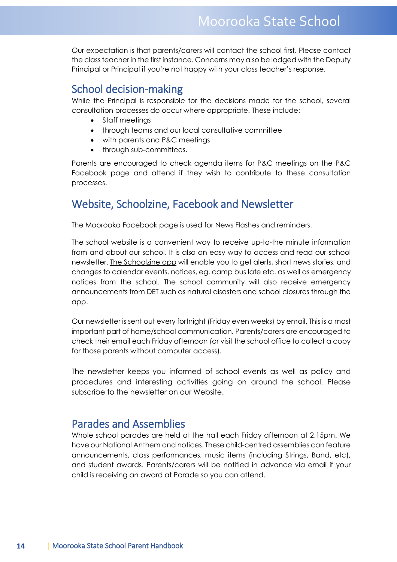Our expectation is that parents/carers will contact the school first. Please contact the class teacher in the first instance. Concerns may also be lodged with the Deputy Principal or Principal if you're not happy with your class teacher's response.

## <span id="page-13-0"></span>School decision-making

While the Principal is responsible for the decisions made for the school, several consultation processes do occur where appropriate. These include:

- Staff meetings
- through teams and our local consultative committee
- with parents and P&C meetings
- through sub-committees.

Parents are encouraged to check agenda items for P&C meetings on the P&C Facebook page and attend if they wish to contribute to these consultation processes.

## <span id="page-13-1"></span>Website, Schoolzine, Facebook and Newsletter

The Moorooka Facebook page is used for News Flashes and reminders.

The school website is a convenient way to receive up-to-the minute information from and about our school. It is also an easy way to access and read our school newsletter. The Schoolzine app will enable you to get alerts, short news stories, and changes to calendar events, notices, eg. camp bus late etc. as well as emergency notices from the school. The school community will also receive emergency announcements from DET such as natural disasters and school closures through the app.

Our newsletter is sent out every fortnight (Friday even weeks) by email. This is a most important part of home/school communication. Parents/carers are encouraged to check their email each Friday afternoon (or visit the school office to collect a copy for those parents without computer access).

The newsletter keeps you informed of school events as well as policy and procedures and interesting activities going on around the school. Please subscribe to the newsletter on our Website.

## <span id="page-13-2"></span>Parades and Assemblies

Whole school parades are held at the hall each Friday afternoon at 2.15pm. We have our National Anthem and notices. These child-centred assemblies can feature announcements, class performances, music items (including Strings, Band, etc), and student awards. Parents/carers will be notified in advance via email if your child is receiving an award at Parade so you can attend.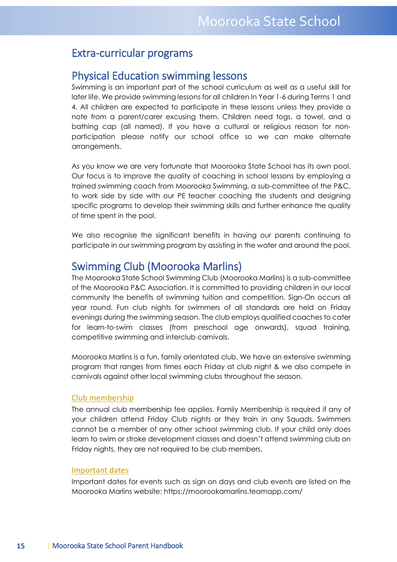## <span id="page-14-0"></span>Extra-curricular programs

## <span id="page-14-1"></span>Physical Education swimming lessons

Swimming is an important part of the school curriculum as well as a useful skill for later life. We provide swimming lessons for all children In Year 1-6 during Terms 1 and 4. All children are expected to participate in these lessons unless they provide a note from a parent/carer excusing them. Children need togs, a towel, and a bathing cap (all named). If you have a cultural or religious reason for nonparticipation please notify our school office so we can make alternate arrangements.

As you know we are very fortunate that Moorooka State School has its own pool. Our focus is to improve the quality of coaching in school lessons by employing a trained swimming coach from Moorooka Swimming, a sub-committee of the P&C, to work side by side with our PE teacher coaching the students and designing specific programs to develop their swimming skills and further enhance the quality of time spent in the pool.

We also recognise the significant benefits in having our parents continuing to participate in our swimming program by assisting in the water and around the pool.

## <span id="page-14-2"></span>Swimming Club (Moorooka Marlins)

The Moorooka State School Swimming Club (Moorooka Marlins) is a sub-committee of the Moorooka P&C Association. It is committed to providing children in our local community the benefits of swimming tuition and competition. Sign-On occurs all year round. Fun club nights for swimmers of all standards are held on Friday evenings during the swimming season. The club employs qualified coaches to cater for learn-to-swim classes (from preschool age onwards), squad training, competitive swimming and interclub carnivals.

Moorooka Marlins is a fun, family orientated club. We have an extensive swimming program that ranges from times each Friday at club night & we also compete in carnivals against other local swimming clubs throughout the season.

#### Club membership

The annual club membership fee applies. Family Membership is required if any of your children attend Friday Club nights or they train in any Squads. Swimmers cannot be a member of any other school swimming club. If your child only does learn to swim or stroke development classes and doesn't attend swimming club on Friday nights, they are not required to be club members.

#### Important dates

Important dates for events such as sign on days and club events are listed on the Moorooka Marlins website: https://moorookamarlins.teamapp.com/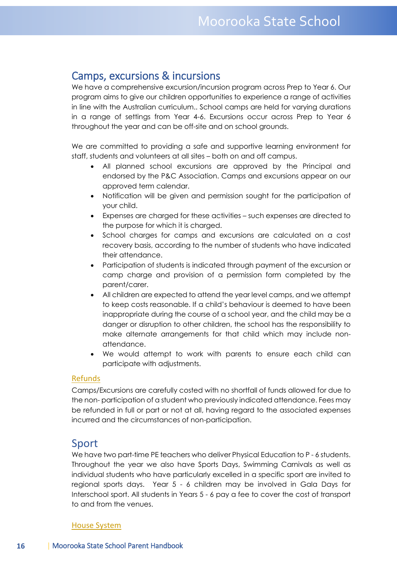## <span id="page-15-0"></span>Camps, excursions & incursions

We have a comprehensive excursion/incursion program across Prep to Year 6. Our program aims to give our children opportunities to experience a range of activities in line with the Australian curriculum.. School camps are held for varying durations in a range of settings from Year 4-6. Excursions occur across Prep to Year 6 throughout the year and can be off-site and on school grounds.

We are committed to providing a safe and supportive learning environment for staff, students and volunteers at all sites – both on and off campus.

- All planned school excursions are approved by the Principal and endorsed by the P&C Association. Camps and excursions appear on our approved term calendar.
- Notification will be given and permission sought for the participation of your child.
- Expenses are charged for these activities such expenses are directed to the purpose for which it is charged.
- School charges for camps and excursions are calculated on a cost recovery basis, according to the number of students who have indicated their attendance.
- Participation of students is indicated through payment of the excursion or camp charge and provision of a permission form completed by the parent/carer.
- All children are expected to attend the year level camps, and we attempt to keep costs reasonable. If a child's behaviour is deemed to have been inappropriate during the course of a school year, and the child may be a danger or disruption to other children, the school has the responsibility to make alternate arrangements for that child which may include nonattendance.
- We would attempt to work with parents to ensure each child can participate with adjustments.

#### Refunds

Camps/Excursions are carefully costed with no shortfall of funds allowed for due to the non- participation of a student who previously indicated attendance. Fees may be refunded in full or part or not at all, having regard to the associated expenses incurred and the circumstances of non-participation.

#### <span id="page-15-1"></span>Sport

We have two part-time PE teachers who deliver Physical Education to P - 6 students. Throughout the year we also have Sports Days, Swimming Carnivals as well as individual students who have particularly excelled in a specific sport are invited to regional sports days. Year 5 - 6 children may be involved in Gala Days for Interschool sport. All students in Years 5 - 6 pay a fee to cover the cost of transport to and from the venues.

#### House System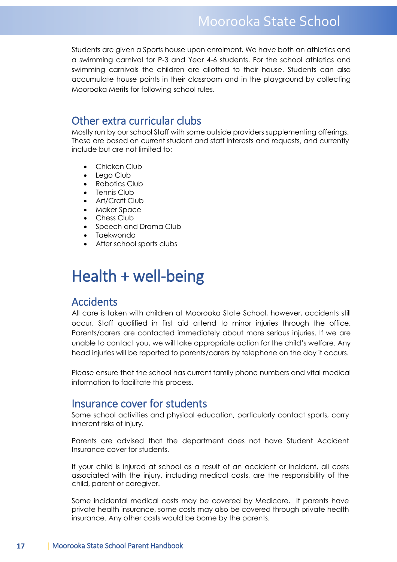Students are given a Sports house upon enrolment. We have both an athletics and a swimming carnival for P-3 and Year 4-6 students. For the school athletics and swimming carnivals the children are allotted to their house. Students can also accumulate house points in their classroom and in the playground by collecting Moorooka Merits for following school rules.

## <span id="page-16-0"></span>Other extra curricular clubs

Mostly run by our school Staff with some outside providers supplementing offerings. These are based on current student and staff interests and requests, and currently include but are not limited to:

- Chicken Club
- Lego Club
- Robotics Club
- Tennis Club
- Art/Craft Club
- Maker Space
- Chess Club
- Speech and Drama Club
- Taekwondo
- After school sports clubs

## <span id="page-16-1"></span>Health + well-being

## <span id="page-16-2"></span>**Accidents**

All care is taken with children at Moorooka State School, however, accidents still occur. Staff qualified in first aid attend to minor injuries through the office. Parents/carers are contacted immediately about more serious injuries. If we are unable to contact you, we will take appropriate action for the child's welfare. Any head injuries will be reported to parents/carers by telephone on the day it occurs.

Please ensure that the school has current family phone numbers and vital medical information to facilitate this process.

### <span id="page-16-3"></span>Insurance cover for students

Some school activities and physical education, particularly contact sports, carry inherent risks of injury.

Parents are advised that the department does not have Student Accident Insurance cover for students.

If your child is injured at school as a result of an accident or incident, all costs associated with the injury, including medical costs, are the responsibility of the child, parent or caregiver.

Some incidental medical costs may be covered by Medicare. If parents have private health insurance, some costs may also be covered through private health insurance. Any other costs would be borne by the parents.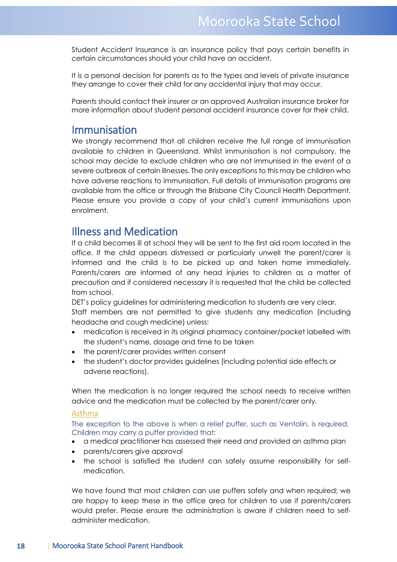Student Accident Insurance is an insurance policy that pays certain benefits in certain circumstances should your child have an accident.

It is a personal decision for parents as to the types and levels of private insurance they arrange to cover their child for any accidental injury that may occur.

Parents should contact their insurer or an approved Australian insurance broker for more information about student personal accident insurance cover for their child.

### <span id="page-17-0"></span>Immunisation

We strongly recommend that all children receive the full range of immunisation available to children in Queensland. Whilst immunisation is not compulsory, the school may decide to exclude children who are not immunised in the event of a severe outbreak of certain illnesses. The only exceptions to this may be children who have adverse reactions to immunisation. Full details of immunisation programs are available from the office or through the Brisbane City Council Health Department. Please ensure you provide a copy of your child's current immunisations upon enrolment.

## <span id="page-17-1"></span>Illness and Medication

If a child becomes ill at school they will be sent to the first aid room located in the office. If the child appears distressed or particularly unwell the parent/carer is informed and the child is to be picked up and taken home immediately. Parents/carers are informed of any head injuries to children as a matter of precaution and if considered necessary it is requested that the child be collected from school.

DET's policy guidelines for administering medication to students are very clear. Staff members are not permitted to give students any medication (including headache and cough medicine) unless:

- medication is received in its original pharmacy container/packet labelled with the student's name, dosage and time to be taken
- the parent/carer provides written consent
- the student's doctor provides guidelines (including potential side effects or adverse reactions).

When the medication is no longer required the school needs to receive written advice and the medication must be collected by the parent/carer only.

#### <span id="page-17-2"></span>Asthma

<span id="page-17-3"></span>The exception to the above is when a relief puffer, such as Ventolin, is required. Children may carry a puffer provided that:

- a medical practitioner has assessed their need and provided an asthma plan
- parents/carers give approval
- the school is satisfied the student can safely assume responsibility for selfmedication.

We have found that most children can use puffers safely and when required; we are happy to keep these in the office area for children to use if parents/carers would prefer. Please ensure the administration is aware if children need to selfadminister medication.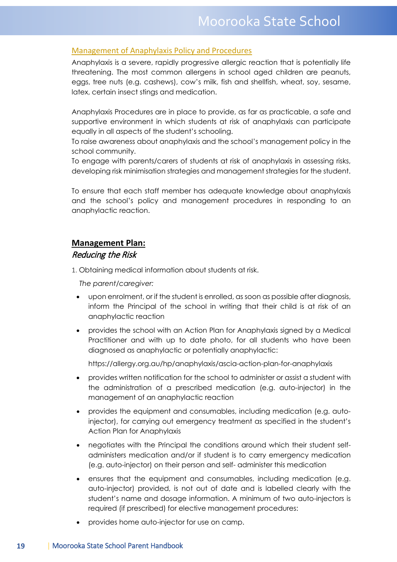#### Management of Anaphylaxis Policy and Procedures

Anaphylaxis is a severe, rapidly progressive allergic reaction that is potentially life threatening. The most common allergens in school aged children are peanuts, eggs, tree nuts (e.g. cashews), cow's milk, fish and shellfish, wheat, soy, sesame, latex, certain insect stings and medication.

Anaphylaxis Procedures are in place to provide, as far as practicable, a safe and supportive environment in which students at risk of anaphylaxis can participate equally in all aspects of the student's schooling.

To raise awareness about anaphylaxis and the school's management policy in the school community.

To engage with parents/carers of students at risk of anaphylaxis in assessing risks, developing risk minimisation strategies and management strategies for the student.

To ensure that each staff member has adequate knowledge about anaphylaxis and the school's policy and management procedures in responding to an anaphylactic reaction.

### **Management Plan:**

#### Reducing the Risk

1. Obtaining medical information about students at risk.

 *The parent/caregiver:* 

- upon enrolment, or if the student is enrolled, as soon as possible after diagnosis, inform the Principal of the school in writing that their child is at risk of an anaphylactic reaction
- provides the school with an Action Plan for Anaphylaxis signed by a Medical Practitioner and with up to date photo, for all students who have been diagnosed as anaphylactic or potentially anaphylactic:

https://allergy.org.au/hp/anaphylaxis/ascia-action-plan-for-anaphylaxis

- provides written notification for the school to administer or assist a student with the administration of a prescribed medication (e.g. auto-injector) in the management of an anaphylactic reaction
- provides the equipment and consumables, including medication (e.g. autoinjector), for carrying out emergency treatment as specified in the student's Action Plan for Anaphylaxis
- negotiates with the Principal the conditions around which their student selfadministers medication and/or if student is to carry emergency medication (e.g. auto-injector) on their person and self- administer this medication
- ensures that the equipment and consumables, including medication (e.g. auto-injector) provided, is not out of date and is labelled clearly with the student's name and dosage information. A minimum of two auto-injectors is required (if prescribed) for elective management procedures:
- provides home auto-injector for use on camp.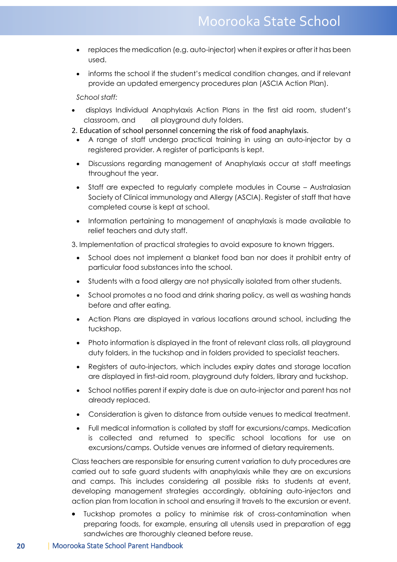- replaces the medication (e.g. auto-injector) when it expires or after it has been used.
- informs the school if the student's medical condition changes, and if relevant provide an updated emergency procedures plan (ASCIA Action Plan).

*School staff:* 

- displays Individual Anaphylaxis Action Plans in the first aid room, student's classroom, and all playground duty folders.
- 2. Education of school personnel concerning the risk of food anaphylaxis.
	- A range of staff undergo practical training in using an auto-injector by a registered provider. A register of participants is kept.
	- Discussions regarding management of Anaphylaxis occur at staff meetings throughout the year.
	- Staff are expected to regularly complete modules in Course Australasian Society of Clinical immunology and Allergy (ASCIA). Register of staff that have completed course is kept at school.
	- Information pertaining to management of anaphylaxis is made available to relief teachers and duty staff.

3. Implementation of practical strategies to avoid exposure to known triggers.

- School does not implement a blanket food ban nor does it prohibit entry of particular food substances into the school.
- Students with a food allergy are not physically isolated from other students.
- School promotes a no food and drink sharing policy, as well as washing hands before and after eating.
- Action Plans are displayed in various locations around school, including the tuckshop.
- Photo information is displayed in the front of relevant class rolls, all playground duty folders, in the tuckshop and in folders provided to specialist teachers.
- Registers of auto-injectors, which includes expiry dates and storage location are displayed in first-aid room, playground duty folders, library and tuckshop.
- School notifies parent if expiry date is due on auto-injector and parent has not already replaced.
- Consideration is given to distance from outside venues to medical treatment.
- Full medical information is collated by staff for excursions/camps. Medication is collected and returned to specific school locations for use on excursions/camps. Outside venues are informed of dietary requirements.

Class teachers are responsible for ensuring current variation to duty procedures are carried out to safe guard students with anaphylaxis while they are on excursions and camps. This includes considering all possible risks to students at event, developing management strategies accordingly, obtaining auto-injectors and action plan from location in school and ensuring it travels to the excursion or event.

• Tuckshop promotes a policy to minimise risk of cross-contamination when preparing foods, for example, ensuring all utensils used in preparation of egg sandwiches are thoroughly cleaned before reuse.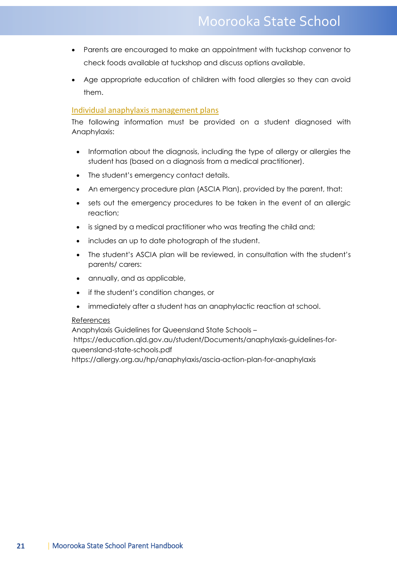- Parents are encouraged to make an appointment with tuckshop convenor to check foods available at tuckshop and discuss options available.
- Age appropriate education of children with food allergies so they can avoid them.

#### Individual anaphylaxis management plans

The following information must be provided on a student diagnosed with Anaphylaxis:

- Information about the diagnosis, including the type of allergy or allergies the student has (based on a diagnosis from a medical practitioner).
- The student's emergency contact details.
- An emergency procedure plan (ASCIA Plan), provided by the parent, that:
- sets out the emergency procedures to be taken in the event of an allergic reaction;
- is signed by a medical practitioner who was treating the child and;
- includes an up to date photograph of the student.
- The student's ASCIA plan will be reviewed, in consultation with the student's parents/ carers:
- annually, and as applicable,
- if the student's condition changes, or
- immediately after a student has an anaphylactic reaction at school.

#### References

Anaphylaxis Guidelines for Queensland State Schools –

https://education.qld.gov.au/student/Documents/anaphylaxis-guidelines-forqueensland-state-schools.pdf

https://allergy.org.au/hp/anaphylaxis/ascia-action-plan-for-anaphylaxis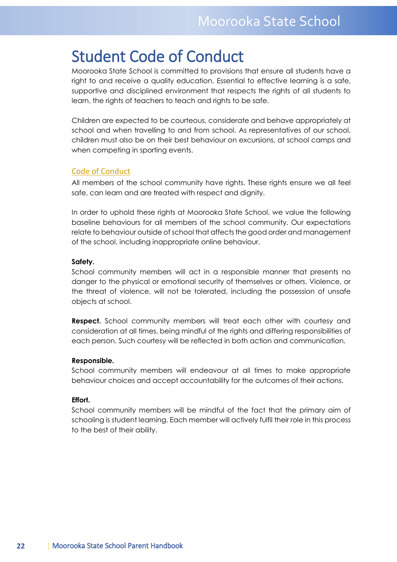## <span id="page-21-0"></span>Student Code of Conduct

Moorooka State School is committed to provisions that ensure all students have a right to and receive a quality education. Essential to effective learning is a safe, supportive and disciplined environment that respects the rights of all students to learn, the rights of teachers to teach and rights to be safe.

Children are expected to be courteous, considerate and behave appropriately at school and when travelling to and from school. As representatives of our school, children must also be on their best behaviour on excursions, at school camps and when competing in sporting events.

#### Code of Conduct

All members of the school community have rights. These rights ensure we all feel safe, can learn and are treated with respect and dignity.

In order to uphold these rights at Moorooka State School, we value the following baseline behaviours for all members of the school community. Our expectations relate to behaviour outside of school that affects the good order and management of the school, including inappropriate online behaviour.

#### **Safety.**

School community members will act in a responsible manner that presents no danger to the physical or emotional security of themselves or others. Violence, or the threat of violence, will not be tolerated, including the possession of unsafe objects at school.

**Respect.** School community members will treat each other with courtesy and consideration at all times, being mindful of the rights and differing responsibilities of each person. Such courtesy will be reflected in both action and communication.

#### **Responsible.**

School community members will endeavour at all times to make appropriate behaviour choices and accept accountability for the outcomes of their actions.

#### **Effort.**

School community members will be mindful of the fact that the primary aim of schooling is student learning. Each member will actively fulfil their role in this process to the best of their ability.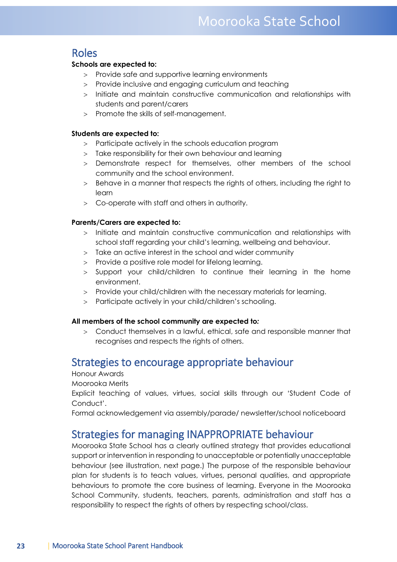## <span id="page-22-0"></span>Roles

#### **Schools are expected to:**

- > Provide safe and supportive learning environments
- > Provide inclusive and engaging curriculum and teaching
- > Initiate and maintain constructive communication and relationships with students and parent/carers
- > Promote the skills of self-management.

#### **Students are expected to:**

- > Participate actively in the schools education program
- > Take responsibility for their own behaviour and learning
- > Demonstrate respect for themselves, other members of the school community and the school environment.
- > Behave in a manner that respects the rights of others, including the right to learn
- > Co-operate with staff and others in authority.

#### **Parents/Carers are expected to:**

- > Initiate and maintain constructive communication and relationships with school staff regarding your child's learning, wellbeing and behaviour.
- > Take an active interest in the school and wider community
- > Provide a positive role model for lifelong learning.
- > Support your child/children to continue their learning in the home environment.
- > Provide your child/children with the necessary materials for learning.
- > Participate actively in your child/children's schooling.

#### **All members of the school community are expected to***:*

> Conduct themselves in a lawful, ethical, safe and responsible manner that recognises and respects the rights of others.

## <span id="page-22-1"></span>Strategies to encourage appropriate behaviour

Honour Awards

Moorooka Merits

Explicit teaching of values, virtues, social skills through our 'Student Code of Conduct'.

<span id="page-22-2"></span>Formal acknowledgement via assembly/parade/ newsletter/school noticeboard

## Strategies for managing INAPPROPRIATE behaviour

Moorooka State School has a clearly outlined strategy that provides educational support or intervention in responding to unacceptable or potentially unacceptable behaviour (see illustration, next page.) The purpose of the responsible behaviour plan for students is to teach values, virtues, personal qualities, and appropriate behaviours to promote the core business of learning. Everyone in the Moorooka School Community, students, teachers, parents, administration and staff has a responsibility to respect the rights of others by respecting school/class.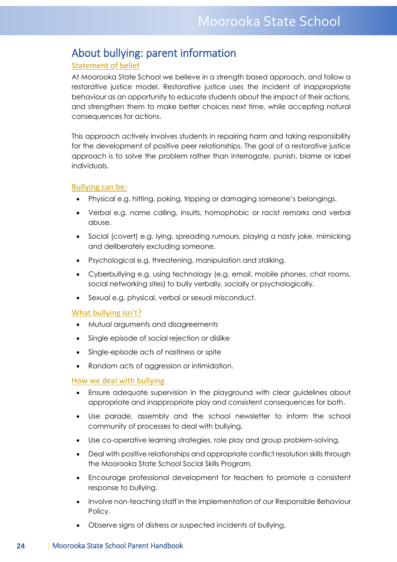## <span id="page-23-0"></span>About bullying: parent information

#### Statement of belief

At Moorooka State School we believe in a strength based approach, and follow a restorative justice model. Restorative justice uses the incident of inappropriate behaviour as an opportunity to educate students about the impact of their actions, and strengthen them to make better choices next time, while accepting natural consequences for actions.

This approach actively involves students in repairing harm and taking responsibility for the development of positive peer relationships. The goal of a restorative justice approach is to solve the problem rather than interrogate, punish, blame or label individuals.

#### Bullying can be:

- Physical e.g. hitting, poking, tripping or damaging someone's belongings.
- Verbal e.g. name calling, insults, homophobic or racist remarks and verbal abuse.
- Social (covert) e.g. lying, spreading rumours, playing a nasty joke, mimicking and deliberately excluding someone.
- Psychological e.g. threatening, manipulation and stalking.
- Cyberbullying e.g. using technology (e.g. email, mobile phones, chat rooms, social networking sites) to bully verbally, socially or psychologically.
- Sexual e.g. physical, verbal or sexual misconduct.

#### What bullying isn't?

- Mutual arguments and disagreements
- Single episode of social rejection or dislike
- Single-episode acts of nastiness or spite
- Random acts of aggression or intimidation.

#### How we deal with bullying

- Ensure adequate supervision in the playground with clear guidelines about appropriate and inappropriate play and consistent consequences for both.
- Use parade, assembly and the school newsletter to inform the school community of processes to deal with bullying.
- Use co-operative learning strategies, role play and group problem-solving.
- Deal with positive relationships and appropriate conflict resolution skills through the Moorooka State School Social Skills Program.
- Encourage professional development for teachers to promote a consistent response to bullying.
- Involve non-teaching staff in the implementation of our Responsible Behaviour Policy.
- Observe signs of distress or suspected incidents of bullying.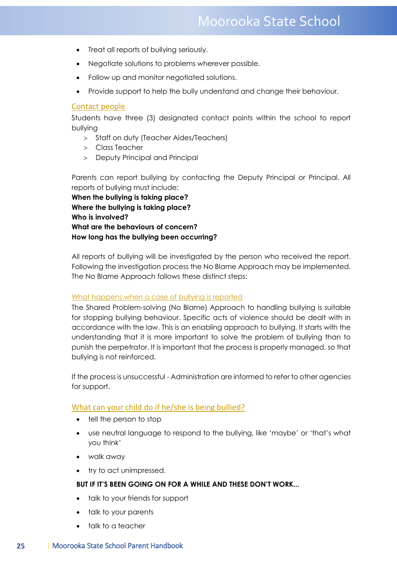## Moorooka State School

- Treat all reports of bullying seriously.
- Negotiate solutions to problems wherever possible.
- Follow up and monitor negotiated solutions.
- Provide support to help the bully understand and change their behaviour.

#### Contact people

Students have three (3) designated contact points within the school to report bullying

- > Staff on duty (Teacher Aides/Teachers)
- > Class Teacher
- > Deputy Principal and Principal

Parents can report bullying by contacting the Deputy Principal or Principal. All reports of bullying must include:

**When the bullying is taking place? Where the bullying is taking place? Who is involved? What are the behaviours of concern? How long has the bullying been occurring?** 

All reports of bullying will be investigated by the person who received the report. Following the investigation process the No Blame Approach may be implemented. The No Blame Approach follows these distinct steps:

#### What happens when a case of bullying is reported

The Shared Problem-solving (No Blame) Approach to handling bullying is suitable for stopping bullying behaviour. Specific acts of violence should be dealt with in accordance with the law. This is an enabling approach to bullying. It starts with the understanding that it is more important to solve the problem of bullying than to punish the perpetrator. It is important that the process is properly managed, so that bullying is not reinforced.

If the process is unsuccessful - Administration are informed to refer to other agencies for support.

#### What can your child do if he/she is being bullied?

- tell the person to stop
- use neutral language to respond to the bullying, like 'maybe' or 'that's what you think'
- walk away
- try to act unimpressed.

#### **BUT IF IT'S BEEN GOING ON FOR A WHILE AND THESE DON'T WORK...**

- talk to your friends for support
- talk to your parents
- talk to a teacher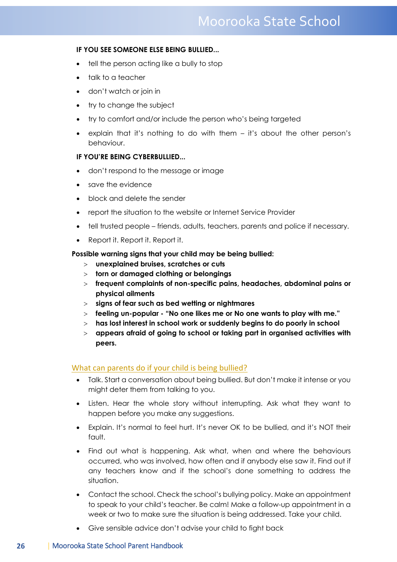## Moorooka State School

#### **IF YOU SEE SOMEONE ELSE BEING BULLIED...**

- tell the person acting like a bully to stop
- talk to a teacher
- don't watch or join in
- try to change the subject
- try to comfort and/or include the person who's being targeted
- explain that it's nothing to do with them it's about the other person's behaviour.

#### **IF YOU'RE BEING CYBERBULLIED...**

- don't respond to the message or image
- save the evidence
- block and delete the sender
- report the situation to the website or Internet Service Provider
- tell trusted people friends, adults, teachers, parents and police if necessary.
- Report it. Report it. Report it.

#### **Possible warning signs that your child may be being bullied:**

- > **unexplained bruises, scratches or cuts**
- > **torn or damaged clothing or belongings**
- > **frequent complaints of non-specific pains, headaches, abdominal pains or physical ailments**
- > **signs of fear such as bed wetting or nightmares**
- > **feeling un-popular - "No one likes me or No one wants to play with me."**
- > **has lost interest in school work or suddenly begins to do poorly in school**
- > **appears afraid of going to school or taking part in organised activities with peers.**

#### What can parents do if your child is being bullied?

- Talk. Start a conversation about being bullied. But don't make it intense or you might deter them from talking to you.
- Listen. Hear the whole story without interrupting. Ask what they want to happen before you make any suggestions.
- Explain. It's normal to feel hurt. It's never OK to be bullied, and it's NOT their fault.
- Find out what is happening. Ask what, when and where the behaviours occurred, who was involved, how often and if anybody else saw it. Find out if any teachers know and if the school's done something to address the situation.
- Contact the school. Check the school's bullying policy. Make an appointment to speak to your child's teacher. Be calm! Make a follow-up appointment in a week or two to make sure the situation is being addressed. Take your child.
- Give sensible advice don't advise your child to fight back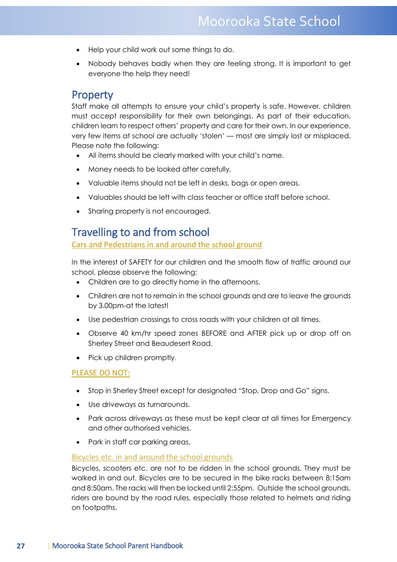- Help your child work out some things to do.
- Nobody behaves badly when they are feeling strong. It is important to get everyone the help they need!

#### <span id="page-26-0"></span>**Property**

Staff make all attempts to ensure your child's property is safe. However, children must accept responsibility for their own belongings. As part of their education, children learn to respect others' property and care for their own. In our experience, very few items at school are actually 'stolen' — most are simply lost or misplaced. Please note the following:

- All items should be clearly marked with your child's name.
- Money needs to be looked after carefully.
- Valuable items should not be left in desks, bags or open areas.
- Valuables should be left with class teacher or office staff before school.
- Sharing property is not encouraged.

## <span id="page-26-1"></span>Travelling to and from school

#### Cars and Pedestrians in and around the school ground

In the interest of SAFETY for our children and the smooth flow of traffic around our school, please observe the following:

- Children are to go directly home in the afternoons.
- Children are not to remain in the school grounds and are to leave the grounds by 3.00pm-at the latest!
- Use pedestrian crossings to cross roads with your children at all times.
- Observe 40 km/hr speed zones BEFORE and AFTER pick up or drop off on Sherley Street and Beaudesert Road.
- Pick up children promptly.

#### PLEASE DO NOT:

- Stop in Sherley Street except for designated "Stop, Drop and Go" signs.
- Use driveways as turnarounds.
- Park across driveways as these must be kept clear at all times for Emergency and other authorised vehicles.
- Park in staff car parking areas.

#### Bicycles etc. in and around the school grounds

Bicycles, scooters etc. are not to be ridden in the school grounds. They must be walked in and out. Bicycles are to be secured in the bike racks between 8:15am and 8:50am. The racks will then be locked until 2:55pm. Outside the school grounds, riders are bound by the road rules, especially those related to helmets and riding on footpaths.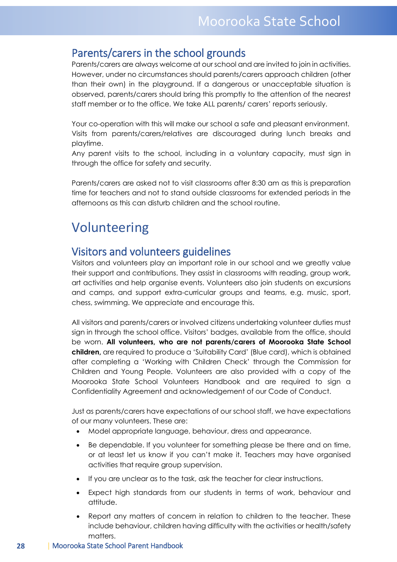## <span id="page-27-0"></span>Parents/carers in the school grounds

Parents/carers are always welcome at our school and are invited to join in activities. However, under no circumstances should parents/carers approach children (other than their own) in the playground. If a dangerous or unacceptable situation is observed, parents/carers should bring this promptly to the attention of the nearest staff member or to the office. We take ALL parents/ carers' reports seriously.

Your co-operation with this will make our school a safe and pleasant environment. Visits from parents/carers/relatives are discouraged during lunch breaks and playtime.

Any parent visits to the school, including in a voluntary capacity, must sign in through the office for safety and security.

Parents/carers are asked not to visit classrooms after 8:30 am as this is preparation time for teachers and not to stand outside classrooms for extended periods in the afternoons as this can disturb children and the school routine.

## <span id="page-27-1"></span>Volunteering

## <span id="page-27-2"></span>Visitors and volunteers guidelines

Visitors and volunteers play an important role in our school and we greatly value their support and contributions. They assist in classrooms with reading, group work, art activities and help organise events. Volunteers also join students on excursions and camps, and support extra-curricular groups and teams, e.g. music, sport, chess, swimming. We appreciate and encourage this.

All visitors and parents/carers or involved citizens undertaking volunteer duties must sign in through the school office. Visitors' badges, available from the office, should be worn. **All volunteers, who are not parents/carers of Moorooka State School children,** are required to produce a 'Suitability Card' (Blue card), which is obtained after completing a 'Working with Children Check' through the Commission for Children and Young People. Volunteers are also provided with a copy of the Moorooka State School Volunteers Handbook and are required to sign a Confidentiality Agreement and acknowledgement of our Code of Conduct.

Just as parents/carers have expectations of our school staff, we have expectations of our many volunteers. These are:

- Model appropriate language, behaviour, dress and appearance.
- Be dependable. If you volunteer for something please be there and on time, or at least let us know if you can't make it. Teachers may have organised activities that require group supervision.
- If you are unclear as to the task, ask the teacher for clear instructions.
- Expect high standards from our students in terms of work, behaviour and attitude.
- Report any matters of concern in relation to children to the teacher. These include behaviour, children having difficulty with the activities or health/safety matters.